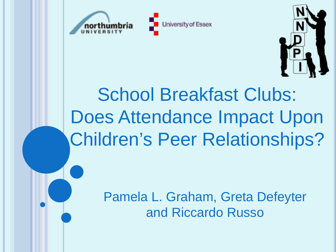





# School Breakfast Clubs: Does Attendance Impact Upon Children's Peer Relationships?

Pamela L. Graham, Greta Defeyter and Riccardo Russo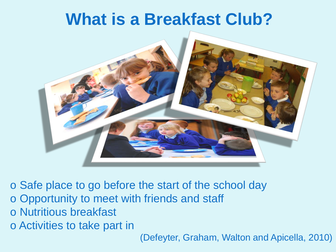### **What is a Breakfast Club?**



o Safe place to go before the start of the school day o Opportunity to meet with friends and staff o Nutritious breakfast o Activities to take part in

(Defeyter, Graham, Walton and Apicella, 2010)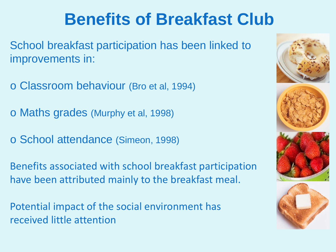## **Benefits of Breakfast Club**

School breakfast participation has been linked to improvements in:

o Classroom behaviour (Bro et al, 1994)

o Maths grades (Murphy et al, 1998)

o School attendance (Simeon, 1998)

Benefits associated with school breakfast participation have been attributed mainly to the breakfast meal.

Potential impact of the social environment has received little attention







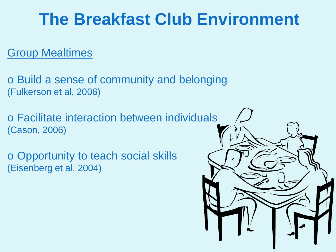## **The Breakfast Club Environment**

#### Group Mealtimes

o Build a sense of community and belonging (Fulkerson et al, 2006)

o Facilitate interaction between individuals (Cason, 2006)

o Opportunity to teach social skills (Eisenberg et al, 2004)

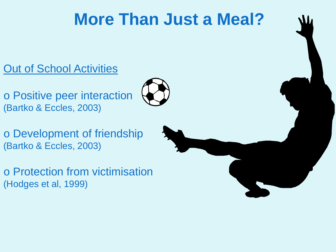## **More Than Just a Meal?**

**Out of School Activities** 

o Positive peer interaction (Bartko & Eccles, 2003)



o Development of friendship (Bartko & Eccles, 2003)

o Protection from victimisation (Hodges et al, 1999)

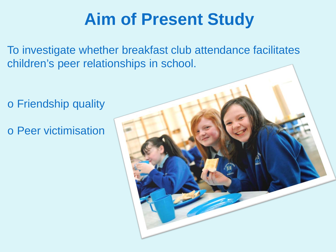## **Aim of Present Study**

To investigate whether breakfast club attendance facilitates children's peer relationships in school.

o Friendship quality

o Peer victimisation

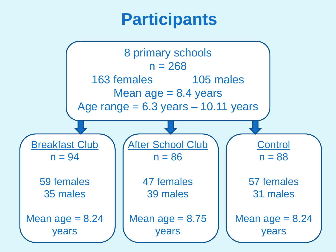## **Participants**

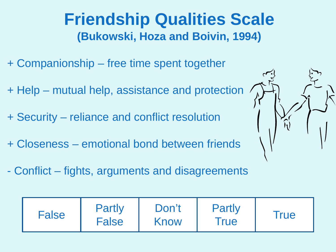#### **Friendship Qualities Scale (Bukowski, Hoza and Boivin, 1994)**

- + Companionship free time spent together
- + Help mutual help, assistance and protection
- + Security reliance and conflict resolution
- + Closeness emotional bond between friends
- Conflict fights, arguments and disagreements

| <b>Partly</b><br><b>Partly</b><br>Don't<br><b>False</b><br><i>I</i> rue<br><b>False</b><br>Know<br><b>True</b> |  |
|----------------------------------------------------------------------------------------------------------------|--|
|----------------------------------------------------------------------------------------------------------------|--|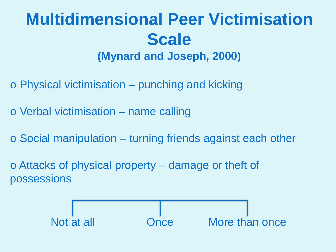#### **Multidimensional Peer Victimisation Scale (Mynard and Joseph, 2000)**

- o Physical victimisation punching and kicking
- o Verbal victimisation name calling
- o Social manipulation turning friends against each other
- o Attacks of physical property damage or theft of possessions

Not at all Once More than once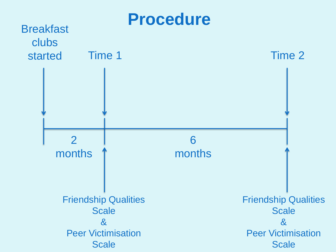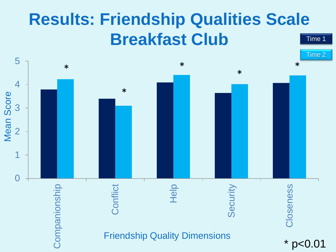#### **Results: Friendship Qualities Scale Breakfast Club** Time 1

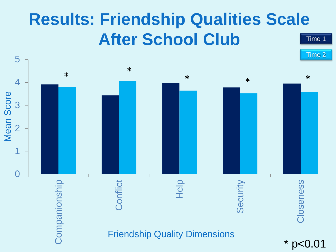## **Results: Friendship Qualities Scale After School Club** Time 1

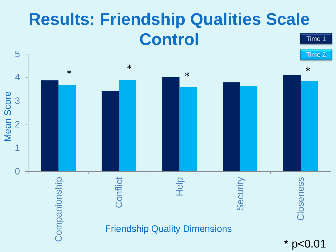#### **Results: Friendship Qualities Scale Control** Time 1

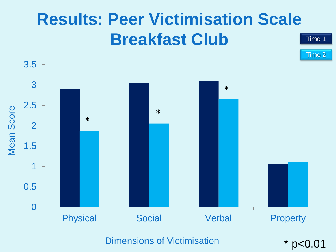## **Results: Peer Victimisation Scale Breakfast Club** Time 1



Dimensions of Victimisation

\* p<0.01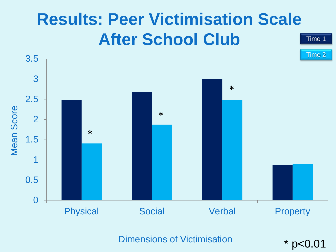## **Results: Peer Victimisation Scale After School Club** Time 1



Dimensions of Victimisation

\* p<0.01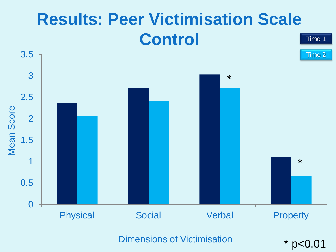## **Results: Peer Victimisation Scale Control** Time 1



Dimensions of Victimisation

\* p<0.01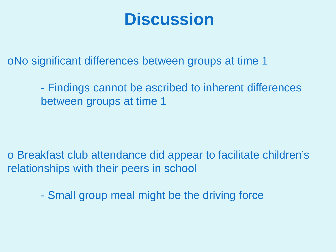### **Discussion**

oNo significant differences between groups at time 1

- Findings cannot be ascribed to inherent differences between groups at time 1

o Breakfast club attendance did appear to facilitate children's relationships with their peers in school

- Small group meal might be the driving force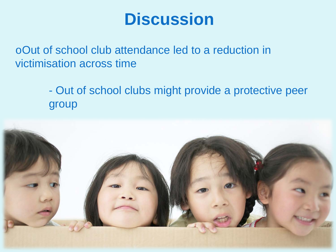### **Discussion**

oOut of school club attendance led to a reduction in victimisation across time

> - Out of school clubs might provide a protective peer group